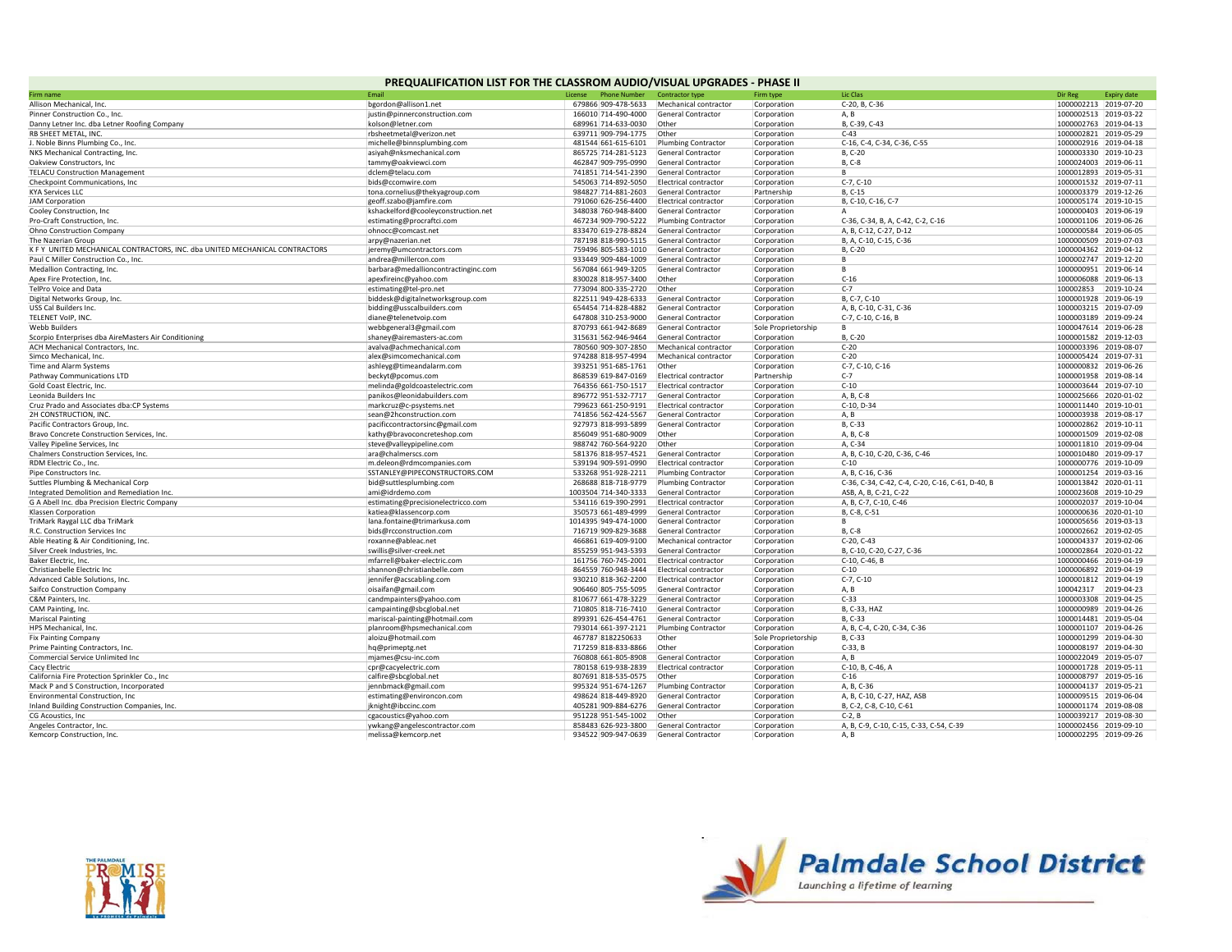| PREQUALIFICATION LIST FOR THE CLASSROM AUDIO/VISUAL UPGRADES - PHASE II     |                                     |                                |                                    |                     |                                                  |                       |                       |  |  |  |  |  |
|-----------------------------------------------------------------------------|-------------------------------------|--------------------------------|------------------------------------|---------------------|--------------------------------------------------|-----------------------|-----------------------|--|--|--|--|--|
| Firm name                                                                   | Fmail                               | License<br><b>Phone Number</b> | Contractor type                    | Firm type           | Lic Clas                                         | Dir Reg               | <b>Expiry date</b>    |  |  |  |  |  |
| Allison Mechanical, Inc.                                                    | bgordon@allison1.net                | 679866 909-478-5633            | Mechanical contractor              | Corporation         | C-20, B, C-36                                    | 1000002213 2019-07-20 |                       |  |  |  |  |  |
| Pinner Construction Co., Inc.                                               | justin@pinnerconstruction.com       | 166010 714-490-4000            | General Contractor                 | Corporation         | A, B                                             |                       | 1000002513 2019-03-22 |  |  |  |  |  |
| Danny Letner Inc. dba Letner Roofing Company                                | kolson@letner.com                   | 689961 714-633-0030            | Other                              | Corporation         | B, C-39, C-43                                    |                       | 1000002763 2019-04-13 |  |  |  |  |  |
| <b>RB SHEET METAL, INC</b>                                                  | rbsheetmetal@verizon.net            | 639711 909-794-1775            | Other                              | Corporation         | $C-43$                                           | 1000002821 2019-05-29 |                       |  |  |  |  |  |
| J. Noble Binns Plumbing Co., Inc.                                           | michelle@binnsplumbing.com          | 481544 661-615-6101            | <b>Plumbing Contractor</b>         | Corporation         | C-16, C-4, C-34, C-36, C-55                      |                       | 1000002916 2019-04-18 |  |  |  |  |  |
| NKS Mechanical Contracting, Inc.                                            | asiyah@nksmechanical.com            | 865725 714-281-5123            | <b>General Contractor</b>          | Corporation         | B, C-20                                          | 1000003330 2019-10-23 |                       |  |  |  |  |  |
| Oakview Constructors, Inc.                                                  | tammy@oakviewci.com                 | 462847 909-795-0990            | <b>General Contractor</b>          | Corporation         | B, C-8                                           | 1000024003 2019-06-11 |                       |  |  |  |  |  |
| <b>TELACU Construction Management</b>                                       | dclem@telacu.com                    | 741851 714-541-2390            | <b>General Contractor</b>          | Corporation         | B                                                | 1000012893 2019-05-31 |                       |  |  |  |  |  |
| Checkpoint Communications, Inc.                                             | bids@ccomwire.com                   | 545063 714-892-5050            | Electrical contractor              | Corporation         | $C-7. C-10$                                      | 1000001532 2019-07-11 |                       |  |  |  |  |  |
| <b>KYA Services LLC</b>                                                     | tona.cornelius@thekyagroup.com      | 984827 714-881-2603            | General Contractor                 | Partnership         | B, C-15                                          | 1000003379            | 2019-12-26            |  |  |  |  |  |
| <b>JAM Corporation</b>                                                      | geoff.szabo@jamfire.com             | 791060 626-256-4400            | Electrical contractor              | Corporation         | B, C-10, C-16, C-7                               | 1000005174            | 2019-10-15            |  |  |  |  |  |
| Cooley Construction, Inc                                                    | kshackelford@cooleyconstruction.net | 348038 760-948-8400            | <b>General Contractor</b>          | Corporation         | A                                                |                       | 1000000403 2019-06-19 |  |  |  |  |  |
| Pro-Craft Construction, Inc.                                                | estimating@procraftci.com           | 467234 909-790-5222            | <b>Plumbing Contractor</b>         | Corporation         | C-36, C-34, B, A, C-42, C-2, C-16                |                       | 1000001106 2019-06-26 |  |  |  |  |  |
| Ohno Construction Company                                                   | ohnocc@comcast.net                  | 833470 619-278-8824            | General Contractor                 | Corporation         | A, B, C-12, C-27, D-12                           |                       | 1000000584 2019-06-05 |  |  |  |  |  |
| The Nazerian Group                                                          | arpy@nazerian.net                   | 787198 818-990-5115            | General Contractor                 | Corporation         | B, A, C-10, C-15, C-36                           | 1000000509 2019-07-03 |                       |  |  |  |  |  |
| K F Y UNITED MECHANICAL CONTRACTORS, INC. dba UNITED MECHANICAL CONTRACTORS | jeremy@umcontractors.com            | 759496 805-583-1010            | General Contractor                 | Corporation         | B, C-20                                          |                       | 1000004362 2019-04-12 |  |  |  |  |  |
| Paul C Miller Construction Co., Inc.                                        | andrea@millercon.com                | 933449 909-484-1009            | General Contractor                 | Corporation         | B                                                |                       | 1000002747 2019-12-20 |  |  |  |  |  |
| Medallion Contracting, Inc.                                                 | barbara@medallioncontractinginc.com | 567084 661-949-3205            | <b>General Contractor</b>          | Corporation         | <b>B</b>                                         | 1000000951 2019-06-14 |                       |  |  |  |  |  |
| Apex Fire Protection, Inc.                                                  | apexfireinc@yahoo.com               | 830028 818-957-3400            | Other                              | Corporation         | $C-16$                                           | 1000006088            | 2019-06-13            |  |  |  |  |  |
| <b>TelPro Voice and Data</b>                                                | estimating@tel-pro.net              | 773094 800-335-2720            | Other                              | Corporation         | $C-7$                                            | 100002853             | 2019-10-24            |  |  |  |  |  |
| Digital Networks Group, Inc.                                                | biddesk@digitalnetworksgroup.com    | 822511 949-428-6333            | General Contractor                 | Corporation         | B, C-7, C-10                                     | 1000001928            | 2019-06-19            |  |  |  |  |  |
| USS Cal Builders Inc.                                                       | bidding@usscalbuilders.com          | 654454 714-828-4882            | General Contractor                 | Corporation         | A, B, C-10, C-31, C-36                           | 1000003215 2019-07-09 |                       |  |  |  |  |  |
| TELENET VoIP, INC.                                                          | diane@telenetvoip.com               | 647808 310-253-9000            | General Contractor                 | Corporation         | C-7, C-10, C-16, B                               | 1000003189 2019-09-24 |                       |  |  |  |  |  |
| Webb Builders                                                               | webbgeneral3@gmail.com              | 870793 661-942-8689            | <b>General Contractor</b>          | Sole Proprietorship | <b>B</b>                                         | 1000047614 2019-06-28 |                       |  |  |  |  |  |
| Scorpio Enterprises dba AireMasters Air Conditioning                        | shaney@airemasters-ac.com           | 315631 562-946-9464            | <b>General Contractor</b>          | Corporation         | B, C-20                                          | 1000001582 2019-12-03 |                       |  |  |  |  |  |
| ACH Mechanical Contractors, Inc.                                            | avalva@achmechanical.com            | 780560 909-307-2850            | Mechanical contractor              | Corporation         | $C-20$                                           | 1000003396 2019-08-07 |                       |  |  |  |  |  |
| Simco Mechanical, Inc.                                                      | alex@simcomechanical.com            | 974288 818-957-4994            | Mechanical contractor              | Corporation         | $C-20$                                           | 1000005424 2019-07-31 |                       |  |  |  |  |  |
| Time and Alarm Systems                                                      | ashleyg@timeandalarm.com            | 393251 951-685-1761            | Other                              | Corporation         | C-7, C-10, C-16                                  |                       | 1000000832 2019-06-26 |  |  |  |  |  |
| Pathway Communications LTD                                                  | beckyt@pcomus.com                   | 868539 619-847-0169            | <b>Electrical contractor</b>       | Partnership         | $C-7$                                            |                       | 1000001958 2019-08-14 |  |  |  |  |  |
| Gold Coast Electric, Inc.                                                   | melinda@goldcoastelectric.com       | 764356 661-750-1517            | Electrical contractor              | Corporation         | $C-10$                                           | 1000003644            | 2019-07-10            |  |  |  |  |  |
| Leonida Builders Inc                                                        | panikos@leonidabuilders.com         | 896772 951-532-7717            | General Contractor                 | Corporation         | A, B, C-8                                        | 1000025666            | 2020-01-02            |  |  |  |  |  |
| Cruz Prado and Associates dba:CP Systems                                    | markcruz@c-psystems.net             | 799623 661-250-9191            | Electrical contractor              | Corporation         | C-10, D-34                                       | 1000011440            | 2019-10-01            |  |  |  |  |  |
| 2H CONSTRUCTION, INC.                                                       | sean@2hconstruction.com             | 741856 562-424-5567            | General Contractor                 | Corporation         | A, B                                             | 1000003938 2019-08-17 |                       |  |  |  |  |  |
| Pacific Contractors Group, Inc.                                             | pacificcontractorsinc@gmail.com     | 927973 818-993-5899            | General Contractor                 | Corporation         | B, C-33                                          |                       | 1000002862 2019-10-11 |  |  |  |  |  |
| Bravo Concrete Construction Services, Inc.                                  | kathy@bravoconcreteshop.com         | 856049 951-680-9009            | Other                              | Corporation         | A. B. C-8                                        | 1000001509 2019-02-08 |                       |  |  |  |  |  |
| Valley Pipeline Services, Inc.                                              | steve@valleypipeline.com            | 988742 760-564-9220            | Other                              | Corporation         | A, C-34                                          | 1000011810 2019-09-04 |                       |  |  |  |  |  |
| Chalmers Construction Services, Inc.                                        | ara@chalmerscs.com                  | 581376 818-957-4521            | General Contractor                 | Corporation         | A, B, C-10, C-20, C-36, C-46                     | 1000010480 2019-09-17 |                       |  |  |  |  |  |
| RDM Electric Co., Inc.                                                      | m.deleon@rdmcompanies.com           | 539194 909-591-0990            | Electrical contractor              | Corporation         | $C-10$                                           | 1000000776 2019-10-09 |                       |  |  |  |  |  |
| Pipe Constructors Inc.                                                      | SSTANLEY@PIPECONSTRUCTORS.COM       | 533268 951-928-2211            | <b>Plumbing Contractor</b>         | Corporation         | A, B, C-16, C-36                                 | 1000001254 2019-03-16 |                       |  |  |  |  |  |
| Suttles Plumbing & Mechanical Corp                                          | bid@suttlesplumbing.com             | 268688 818-718-9779            | <b>Plumbing Contractor</b>         | Corporation         | C-36, C-34, C-42, C-4, C-20, C-16, C-61, D-40, B | 1000013842 2020-01-11 |                       |  |  |  |  |  |
| Integrated Demolition and Remediation Inc.                                  | ami@idrdemo.com                     | 1003504 714-340-3333           | General Contractor                 | Corporation         | ASB, A, B, C-21, C-22                            | 1000023608            | 2019-10-29            |  |  |  |  |  |
| G A Abell Inc. dba Precision Electric Company                               | estimating@precisionelectricco.com  | 534116 619-390-2991            | <b>Electrical contractor</b>       | Corporation         | A, B, C-7, C-10, C-46                            | 1000002037            | 2019-10-04            |  |  |  |  |  |
| Klassen Corporation                                                         | katiea@klassencorp.com              | 350573 661-489-4999            | General Contractor                 | Corporation         | B, C-8, C-51                                     |                       | 1000000636 2020-01-10 |  |  |  |  |  |
| TriMark Raygal LLC dba TriMark                                              | lana.fontaine@trimarkusa.com        | 1014395 949-474-1000           | General Contractor                 | Corporation         | B                                                |                       | 1000005656 2019-03-13 |  |  |  |  |  |
| R.C. Construction Services Inc                                              | bids@rcconstruction.com             | 716719 909-829-3688            | General Contractor                 | Corporation         | B, C-8                                           | 1000002662 2019-02-05 |                       |  |  |  |  |  |
| Able Heating & Air Conditioning, Inc.                                       | roxanne@ableac.net                  | 466861 619-409-9100            | Mechanical contractor              | Corporation         | $C-20, C-43$                                     |                       | 1000004337 2019-02-06 |  |  |  |  |  |
| Silver Creek Industries, Inc.                                               | swillis@silver-creek.net            | 855259 951-943-5393            | General Contractor                 | Corporation         | B, C-10, C-20, C-27, C-36                        | 1000002864 2020-01-22 |                       |  |  |  |  |  |
| Baker Electric, Inc.                                                        | mfarrell@baker-electric.com         | 161756 760-745-2001            | Electrical contractor              | Corporation         | C-10, C-46, B                                    |                       | 1000000466 2019-04-19 |  |  |  |  |  |
| Christianbelle Electric Inc                                                 | shannon@christianbelle.com          | 864559 760-948-3444            | Electrical contractor              | Corporation         | $C-10$                                           | 1000006892 2019-04-19 |                       |  |  |  |  |  |
| Advanced Cable Solutions, Inc.                                              | jennifer@acscabling.com             | 930210 818-362-2200            | Electrical contractor              | Corporation         | $C-7, C-10$                                      | 1000001812 2019-04-19 |                       |  |  |  |  |  |
| Saifco Construction Company                                                 | oisaifan@gmail.com                  | 906460 805-755-5095            | <b>General Contractor</b>          | Corporation         | A, B                                             | 100042317             | 2019-04-23            |  |  |  |  |  |
| C&M Painters, Inc.                                                          | candmpainters@yahoo.com             | 810677 661-478-3229            | <b>General Contractor</b>          | Corporation         | $C-33$                                           | 1000003308            | 2019-04-25            |  |  |  |  |  |
| CAM Painting, Inc.                                                          | campainting@sbcglobal.net           | 710805 818-716-7410            | General Contractor                 | Corporation         | B, C-33, HAZ                                     | 1000000989            | 2019-04-26            |  |  |  |  |  |
| <b>Mariscal Painting</b>                                                    | mariscal-painting@hotmail.com       | 899391 626-454-4761            | General Contractor                 | Corporation         | B, C-33                                          | 1000014481            | 2019-05-04            |  |  |  |  |  |
| HPS Mechanical, Inc.                                                        | planroom@hpsmechanical.com          | 793014 661-397-2121            | <b>Plumbing Contractor</b>         | Corporation         | A, B, C-4, C-20, C-34, C-36                      | 1000001107 2019-04-26 |                       |  |  |  |  |  |
| <b>Fix Painting Company</b>                                                 | aloizu@hotmail.com                  | 467787 8182250633              | Other                              | Sole Proprietorship | B, C-33                                          | 1000001299 2019-04-30 |                       |  |  |  |  |  |
| Prime Painting Contractors, Inc.                                            | hq@primeptg.net                     | 717259 818-833-8866            | Other                              | Corporation         | $C-33$ , B                                       | 1000008197            | 2019-04-30            |  |  |  |  |  |
| Commercial Service Unlimited Inc                                            | mjames@csu-inc.com                  | 760808 661-805-8908            | General Contractor                 | Corporation         | A, B                                             | 1000022049 2019-05-07 |                       |  |  |  |  |  |
| Cacy Electric                                                               | cpr@cacyelectric.com                | 780158 619-938-2839            | Electrical contractor              | Corporation         | C-10, B, C-46, A                                 | 1000001728 2019-05-11 |                       |  |  |  |  |  |
| California Fire Protection Sprinkler Co., Inc                               | calfire@sbcglobal.net               | 807691 818-535-0575            | Other                              | Corporation         | $C-16$                                           | 1000008797 2019-05-16 |                       |  |  |  |  |  |
| Mack P and S Construction, Incorporated                                     | jennbmack@gmail.com                 | 995324 951-674-1267            | <b>Plumbing Contractor</b>         | Corporation         | A, B, C-36                                       | 1000004137            | 2019-05-21            |  |  |  |  |  |
| Environmental Construction, Inc.                                            | estimating@environcon.com           | 498624 818-449-8920            | General Contractor                 | Corporation         | A, B, C-10, C-27, HAZ, ASB                       | 1000009515            | 2019-06-04            |  |  |  |  |  |
| Inland Building Construction Companies, Inc.                                | jknight@ibccinc.com                 | 405281 909-884-6276            | <b>General Contractor</b><br>Other | Corporation         | B. C-2. C-8. C-10. C-61                          |                       | 1000001174 2019-08-08 |  |  |  |  |  |
| CG Acoustics, Inc.                                                          | cgacoustics@yahoo.com               | 951228 951-545-1002            |                                    | Corporation         | $C-2, B$                                         |                       | 1000039217 2019-08-30 |  |  |  |  |  |
| Angeles Contractor, Inc.                                                    | ywkang@angelescontractor.com        | 858483 626-923-3800            | <b>General Contractor</b>          | Corporation         | A, B, C-9, C-10, C-15, C-33, C-54, C-39          |                       | 1000002456 2019-09-10 |  |  |  |  |  |
| Kemcorp Construction, Inc.                                                  | melissa@kemcorp.net                 | 934522 909-947-0639            | General Contractor                 | Corporation         | A.B                                              | 1000002295 2019-09-26 |                       |  |  |  |  |  |